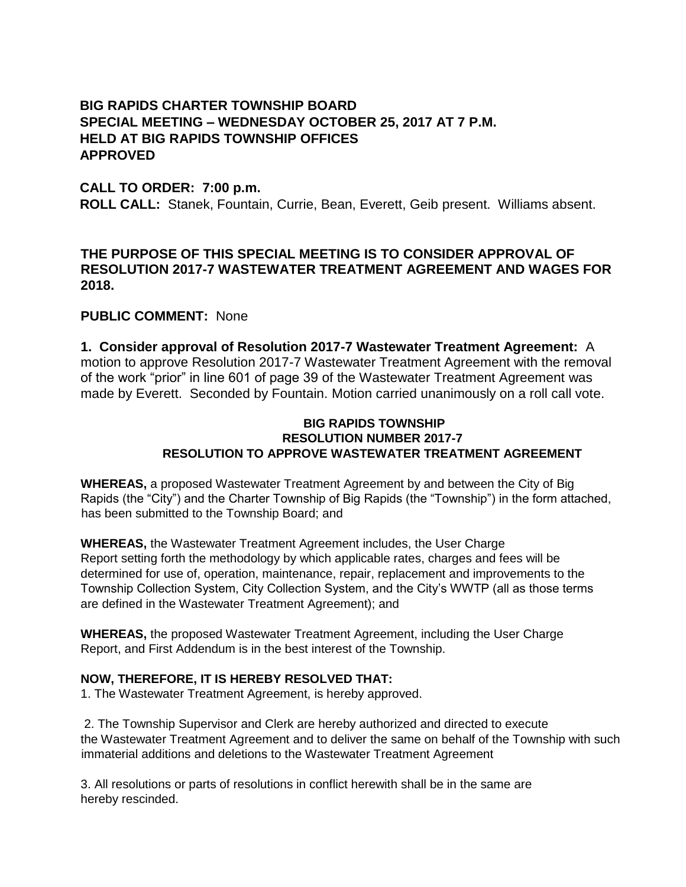# **BIG RAPIDS CHARTER TOWNSHIP BOARD SPECIAL MEETING – WEDNESDAY OCTOBER 25, 2017 AT 7 P.M. HELD AT BIG RAPIDS TOWNSHIP OFFICES APPROVED**

### **CALL TO ORDER: 7:00 p.m.**

**ROLL CALL:** Stanek, Fountain, Currie, Bean, Everett, Geib present. Williams absent.

## **THE PURPOSE OF THIS SPECIAL MEETING IS TO CONSIDER APPROVAL OF RESOLUTION 2017-7 WASTEWATER TREATMENT AGREEMENT AND WAGES FOR 2018.**

# **PUBLIC COMMENT:** None

**1. Consider approval of Resolution 2017-7 Wastewater Treatment Agreement:** A motion to approve Resolution 2017-7 Wastewater Treatment Agreement with the removal of the work "prior" in line 601 of page 39 of the Wastewater Treatment Agreement was made by Everett. Seconded by Fountain. Motion carried unanimously on a roll call vote.

#### **BIG RAPIDS TOWNSHIP RESOLUTION NUMBER 2017-7 RESOLUTION TO APPROVE WASTEWATER TREATMENT AGREEMENT**

**WHEREAS,** a proposed Wastewater Treatment Agreement by and between the City of Big Rapids (the "City") and the Charter Township of Big Rapids (the "Township") in the form attached, has been submitted to the Township Board; and

**WHEREAS,** the Wastewater Treatment Agreement includes, the User Charge Report setting forth the methodology by which applicable rates, charges and fees will be determined for use of, operation, maintenance, repair, replacement and improvements to the Township Collection System, City Collection System, and the City's WWTP (all as those terms are defined in the Wastewater Treatment Agreement); and

**WHEREAS,** the proposed Wastewater Treatment Agreement, including the User Charge Report, and First Addendum is in the best interest of the Township.

### **NOW, THEREFORE, IT IS HEREBY RESOLVED THAT:**

1. The Wastewater Treatment Agreement, is hereby approved.

2. The Township Supervisor and Clerk are hereby authorized and directed to execute the Wastewater Treatment Agreement and to deliver the same on behalf of the Township with such immaterial additions and deletions to the Wastewater Treatment Agreement

3. All resolutions or parts of resolutions in conflict herewith shall be in the same are hereby rescinded.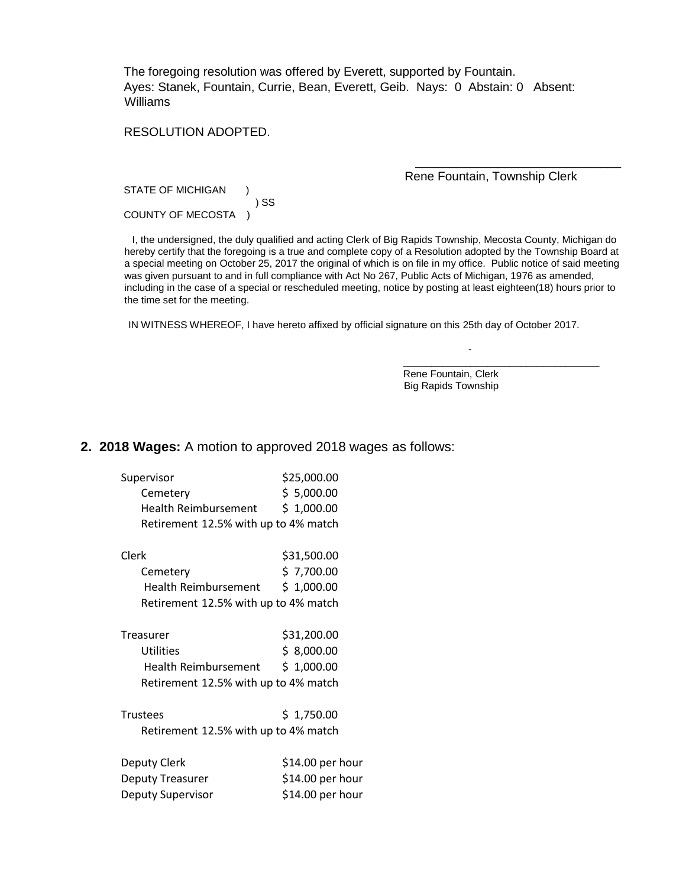The foregoing resolution was offered by Everett, supported by Fountain. Ayes: Stanek, Fountain, Currie, Bean, Everett, Geib. Nays: 0Abstain: 0 Absent: Williams

### RESOLUTION ADOPTED.

Rene Fountain, Township Clerk

\_\_\_\_\_\_\_\_\_\_\_\_\_\_\_\_\_\_\_\_\_\_\_\_\_\_\_\_\_\_

STATE OF MICHIGAN ) SS COUNTY OF MECOSTA )

 I, the undersigned, the duly qualified and acting Clerk of Big Rapids Township, Mecosta County, Michigan do hereby certify that the foregoing is a true and complete copy of a Resolution adopted by the Township Board at a special meeting on October 25, 2017 the original of which is on file in my office. Public notice of said meeting was given pursuant to and in full compliance with Act No 267, Public Acts of Michigan, 1976 as amended, including in the case of a special or rescheduled meeting, notice by posting at least eighteen(18) hours prior to the time set for the meeting.

IN WITNESS WHEREOF, I have hereto affixed by official signature on this 25th day of October 2017.

 Rene Fountain, Clerk Big Rapids Township

-

\_\_\_\_\_\_\_\_\_\_\_\_\_\_\_\_\_\_\_\_\_\_\_\_\_\_\_\_\_\_\_\_\_\_\_

#### **2. 2018 Wages:** A motion to approved 2018 wages as follows:

| Supervisor                           | \$25,000.00      |
|--------------------------------------|------------------|
| Cemetery                             | \$5,000.00       |
| Health Reimbursement                 | \$1,000.00       |
| Retirement 12.5% with up to 4% match |                  |
| Clerk                                | \$31,500.00      |
| Cemetery                             | \$7,700.00       |
| Health Reimbursement                 | \$1,000.00       |
| Retirement 12.5% with up to 4% match |                  |
| Treasurer                            | \$31,200.00      |
| Utilities                            | \$8,000.00       |
| Health Reimbursement                 | \$1,000.00       |
| Retirement 12.5% with up to 4% match |                  |
| <b>Trustees</b>                      | \$1,750.00       |
| Retirement 12.5% with up to 4% match |                  |
| Deputy Clerk                         | \$14.00 per hour |
| <b>Deputy Treasurer</b>              | \$14.00 per hour |
| Deputy Supervisor                    | \$14.00 per hour |
|                                      |                  |